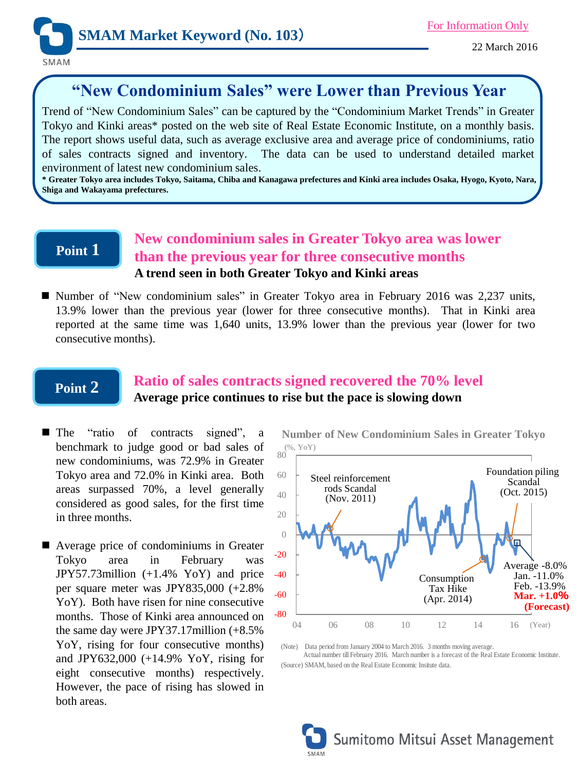

SMAM

# **"New Condominium Sales" were Lower than Previous Year**

Trend of "New Condominium Sales" can be captured by the "Condominium Market Trends" in Greater Tokyo and Kinki areas\* posted on the web site of Real Estate Economic Institute, on a monthly basis. The report shows useful data, such as average exclusive area and average price of condominiums, ratio of sales contracts signed and inventory. The data can be used to understand detailed market environment of latest new condominium sales.

\* Greater Tokyo area includes Tokyo, Saitama, Chiba and Kanagawa prefectures and Kinki area includes Osaka, Hyogo, Kyoto, Nara, **Shiga and Wakayama prefectures.**

## **Point 1**

## **New condominium sales in Greater Tokyo area was lower than the previous year for three consecutive months A trend seen in both Greater Tokyo and Kinki areas**

 Number of "New condominium sales" in Greater Tokyo area in February 2016 was 2,237 units, 13.9% lower than the previous year (lower for three consecutive months). That in Kinki area reported at the same time was 1,640 units, 13.9% lower than the previous year (lower for two consecutive months).

## **Point 2**

## **Ratio of sales contracts signed recovered the 70% level Average price continues to rise but the pace is slowing down**

- **The** "ratio of contracts signed", a benchmark to judge good or bad sales of new condominiums, was 72.9% in Greater Tokyo area and 72.0% in Kinki area. Both areas surpassed 70%, a level generally considered as good sales, for the first time in three months.
- Average price of condominiums in Greater Tokyo area in February was JPY57.73million (+1.4% YoY) and price per square meter was JPY835,000 (+2.8% YoY). Both have risen for nine consecutive months. Those of Kinki area announced on the same day were JPY37.17million (+8.5% YoY, rising for four consecutive months) and JPY632,000 (+14.9% YoY, rising for eight consecutive months) respectively. However, the pace of rising has slowed in both areas.

80 (%, YoY) **Number of New Condominium Sales in Greater Tokyo**



(Note) Data period from January 2004 to March 2016. 3 months moving average. Actual number till February 2016. March number is a forecast of the Real Estate Economic Institute. (Source) SMAM, based on the Real Estate Economic Insitute data.